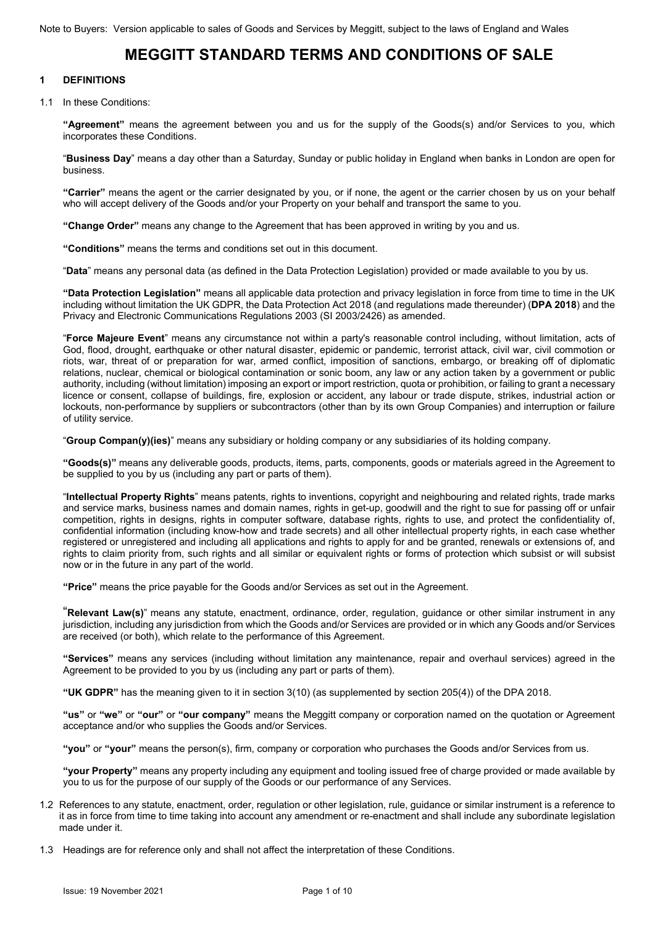# **MEGGITT STANDARD TERMS AND CONDITIONS OF SALE**

### **1 DEFINITIONS**

1.1 In these Conditions:

**"Agreement"** means the agreement between you and us for the supply of the Goods(s) and/or Services to you, which incorporates these Conditions.

"**Business Day**" means a day other than a Saturday, Sunday or public holiday in England when banks in London are open for business.

**"Carrier"** means the agent or the carrier designated by you, or if none, the agent or the carrier chosen by us on your behalf who will accept delivery of the Goods and/or your Property on your behalf and transport the same to you.

**"Change Order"** means any change to the Agreement that has been approved in writing by you and us.

**"Conditions"** means the terms and conditions set out in this document.

"**Data**" means any personal data (as defined in the Data Protection Legislation) provided or made available to you by us.

**"Data Protection Legislation"** means all applicable data protection and privacy legislation in force from time to time in the UK including without limitation the UK GDPR, the Data Protection Act 2018 (and regulations made thereunder) (**DPA 2018**) and the Privacy and Electronic Communications Regulations 2003 (SI 2003/2426) as amended.

"**Force Majeure Event**" means any circumstance not within a party's reasonable control including, without limitation, acts of God, flood, drought, earthquake or other natural disaster, epidemic or pandemic, terrorist attack, civil war, civil commotion or riots, war, threat of or preparation for war, armed conflict, imposition of sanctions, embargo, or breaking off of diplomatic relations, nuclear, chemical or biological contamination or sonic boom, any law or any action taken by a government or public authority, including (without limitation) imposing an export or import restriction, quota or prohibition, or failing to grant a necessary licence or consent, collapse of buildings, fire, explosion or accident, any labour or trade dispute, strikes, industrial action or lockouts, non-performance by suppliers or subcontractors (other than by its own Group Companies) and interruption or failure of utility service.

"**Group Compan(y)(ies)**" means any subsidiary or holding company or any subsidiaries of its holding company.

**"Goods(s)"** means any deliverable goods, products, items, parts, components, goods or materials agreed in the Agreement to be supplied to you by us (including any part or parts of them).

"**Intellectual Property Rights**" means patents, rights to inventions, copyright and neighbouring and related rights, trade marks and service marks, business names and domain names, rights in get-up, goodwill and the right to sue for passing off or unfair competition, rights in designs, rights in computer software, database rights, rights to use, and protect the confidentiality of, confidential information (including know-how and trade secrets) and all other intellectual property rights, in each case whether registered or unregistered and including all applications and rights to apply for and be granted, renewals or extensions of, and rights to claim priority from, such rights and all similar or equivalent rights or forms of protection which subsist or will subsist now or in the future in any part of the world.

**"Price"** means the price payable for the Goods and/or Services as set out in the Agreement.

"**Relevant Law(s)**" means any statute, enactment, ordinance, order, regulation, guidance or other similar instrument in any jurisdiction, including any jurisdiction from which the Goods and/or Services are provided or in which any Goods and/or Services are received (or both), which relate to the performance of this Agreement.

**"Services"** means any services (including without limitation any maintenance, repair and overhaul services) agreed in the Agreement to be provided to you by us (including any part or parts of them).

**"UK GDPR"** has the meaning given to it in section 3(10) (as supplemented by section 205(4)) of the DPA 2018.

**"us"** or **"we"** or **"our"** or **"our company"** means the Meggitt company or corporation named on the quotation or Agreement acceptance and/or who supplies the Goods and/or Services.

**"you"** or **"your"** means the person(s), firm, company or corporation who purchases the Goods and/or Services from us.

**"your Property"** means any property including any equipment and tooling issued free of charge provided or made available by you to us for the purpose of our supply of the Goods or our performance of any Services.

- 1.2 References to any statute, enactment, order, regulation or other legislation, rule, guidance or similar instrument is a reference to it as in force from time to time taking into account any amendment or re-enactment and shall include any subordinate legislation made under it.
- 1.3 Headings are for reference only and shall not affect the interpretation of these Conditions.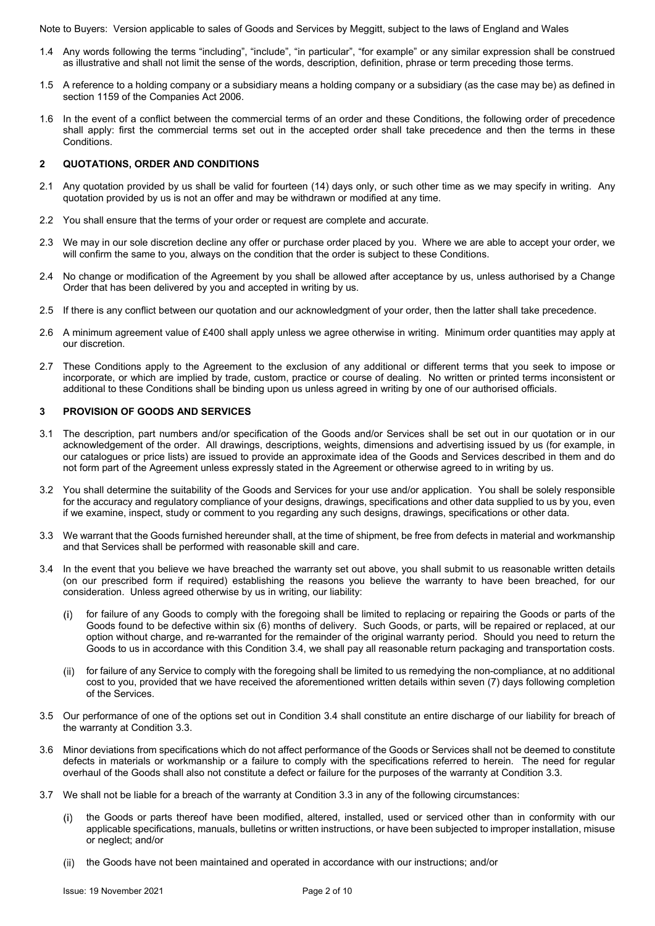- 1.4 Any words following the terms "including", "include", "in particular", "for example" or any similar expression shall be construed as illustrative and shall not limit the sense of the words, description, definition, phrase or term preceding those terms.
- 1.5 A reference to a holding company or a subsidiary means a holding company or a subsidiary (as the case may be) as defined in section 1159 of the Companies Act 2006.
- 1.6 In the event of a conflict between the commercial terms of an order and these Conditions, the following order of precedence shall apply: first the commercial terms set out in the accepted order shall take precedence and then the terms in these Conditions.

## **2 QUOTATIONS, ORDER AND CONDITIONS**

- 2.1 Any quotation provided by us shall be valid for fourteen (14) days only, or such other time as we may specify in writing. Any quotation provided by us is not an offer and may be withdrawn or modified at any time.
- 2.2 You shall ensure that the terms of your order or request are complete and accurate.
- 2.3 We may in our sole discretion decline any offer or purchase order placed by you. Where we are able to accept your order, we will confirm the same to you, always on the condition that the order is subject to these Conditions.
- 2.4 No change or modification of the Agreement by you shall be allowed after acceptance by us, unless authorised by a Change Order that has been delivered by you and accepted in writing by us.
- 2.5 If there is any conflict between our quotation and our acknowledgment of your order, then the latter shall take precedence.
- 2.6 A minimum agreement value of £400 shall apply unless we agree otherwise in writing. Minimum order quantities may apply at our discretion.
- 2.7 These Conditions apply to the Agreement to the exclusion of any additional or different terms that you seek to impose or incorporate, or which are implied by trade, custom, practice or course of dealing. No written or printed terms inconsistent or additional to these Conditions shall be binding upon us unless agreed in writing by one of our authorised officials.

#### **3 PROVISION OF GOODS AND SERVICES**

- 3.1 The description, part numbers and/or specification of the Goods and/or Services shall be set out in our quotation or in our acknowledgement of the order. All drawings, descriptions, weights, dimensions and advertising issued by us (for example, in our catalogues or price lists) are issued to provide an approximate idea of the Goods and Services described in them and do not form part of the Agreement unless expressly stated in the Agreement or otherwise agreed to in writing by us.
- 3.2 You shall determine the suitability of the Goods and Services for your use and/or application. You shall be solely responsible for the accuracy and regulatory compliance of your designs, drawings, specifications and other data supplied to us by you, even if we examine, inspect, study or comment to you regarding any such designs, drawings, specifications or other data.
- 3.3 We warrant that the Goods furnished hereunder shall, at the time of shipment, be free from defects in material and workmanship and that Services shall be performed with reasonable skill and care.
- 3.4 In the event that you believe we have breached the warranty set out above, you shall submit to us reasonable written details (on our prescribed form if required) establishing the reasons you believe the warranty to have been breached, for our consideration. Unless agreed otherwise by us in writing, our liability:
	- for failure of any Goods to comply with the foregoing shall be limited to replacing or repairing the Goods or parts of the Goods found to be defective within six (6) months of delivery. Such Goods, or parts, will be repaired or replaced, at our option without charge, and re-warranted for the remainder of the original warranty period. Should you need to return the Goods to us in accordance with this Condition 3.4, we shall pay all reasonable return packaging and transportation costs.
	- (ii) for failure of any Service to comply with the foregoing shall be limited to us remedying the non-compliance, at no additional cost to you, provided that we have received the aforementioned written details within seven (7) days following completion of the Services.
- 3.5 Our performance of one of the options set out in Condition 3.4 shall constitute an entire discharge of our liability for breach of the warranty at Condition 3.3.
- 3.6 Minor deviations from specifications which do not affect performance of the Goods or Services shall not be deemed to constitute defects in materials or workmanship or a failure to comply with the specifications referred to herein. The need for regular overhaul of the Goods shall also not constitute a defect or failure for the purposes of the warranty at Condition 3.3.
- 3.7 We shall not be liable for a breach of the warranty at Condition 3.3 in any of the following circumstances:
	- (i) the Goods or parts thereof have been modified, altered, installed, used or serviced other than in conformity with our applicable specifications, manuals, bulletins or written instructions, or have been subjected to improper installation, misuse or neglect; and/or
	- the Goods have not been maintained and operated in accordance with our instructions; and/or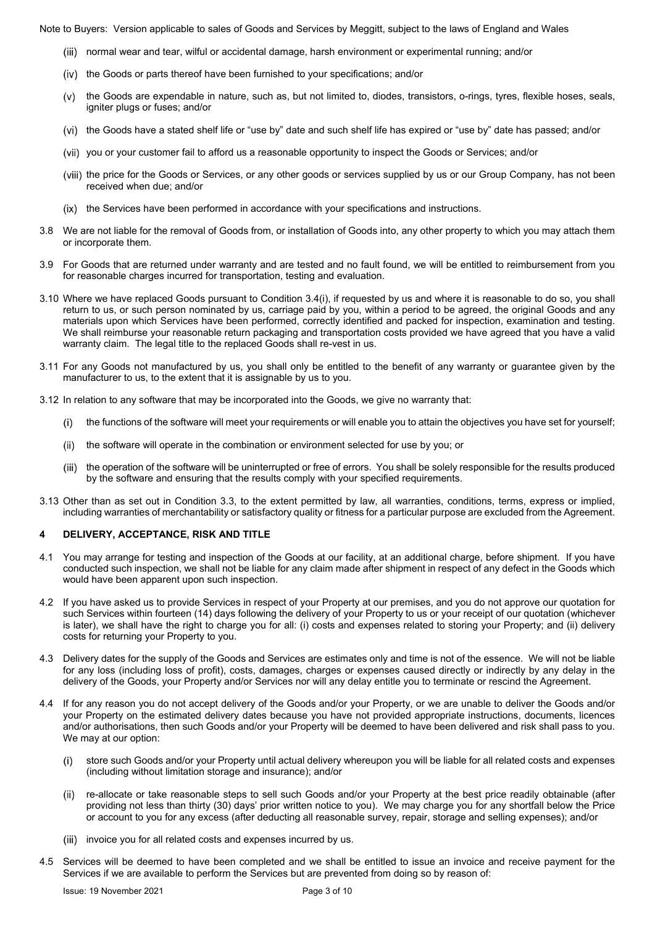- normal wear and tear, wilful or accidental damage, harsh environment or experimental running; and/or
- $(iv)$  the Goods or parts thereof have been furnished to your specifications; and/or
- (v) the Goods are expendable in nature, such as, but not limited to, diodes, transistors, o-rings, tyres, flexible hoses, seals, igniter plugs or fuses; and/or
- (vi) the Goods have a stated shelf life or "use by" date and such shelf life has expired or "use by" date has passed; and/or
- (vii) you or your customer fail to afford us a reasonable opportunity to inspect the Goods or Services; and/or
- (viii) the price for the Goods or Services, or any other goods or services supplied by us or our Group Company, has not been received when due; and/or
- (ix) the Services have been performed in accordance with your specifications and instructions.
- 3.8 We are not liable for the removal of Goods from, or installation of Goods into, any other property to which you may attach them or incorporate them.
- 3.9 For Goods that are returned under warranty and are tested and no fault found, we will be entitled to reimbursement from you for reasonable charges incurred for transportation, testing and evaluation.
- 3.10 Where we have replaced Goods pursuant to Condition 3.4(i), if requested by us and where it is reasonable to do so, you shall return to us, or such person nominated by us, carriage paid by you, within a period to be agreed, the original Goods and any materials upon which Services have been performed, correctly identified and packed for inspection, examination and testing. We shall reimburse your reasonable return packaging and transportation costs provided we have agreed that you have a valid warranty claim. The legal title to the replaced Goods shall re-vest in us.
- 3.11 For any Goods not manufactured by us, you shall only be entitled to the benefit of any warranty or guarantee given by the manufacturer to us, to the extent that it is assignable by us to you.
- 3.12 In relation to any software that may be incorporated into the Goods, we give no warranty that:
	- the functions of the software will meet your requirements or will enable you to attain the objectives you have set for yourself;
	- (ii) the software will operate in the combination or environment selected for use by you; or
	- (iii) the operation of the software will be uninterrupted or free of errors. You shall be solely responsible for the results produced by the software and ensuring that the results comply with your specified requirements.
- 3.13 Other than as set out in Condition 3.3, to the extent permitted by law, all warranties, conditions, terms, express or implied, including warranties of merchantability or satisfactory quality or fitness for a particular purpose are excluded from the Agreement.

## **4 DELIVERY, ACCEPTANCE, RISK AND TITLE**

- 4.1 You may arrange for testing and inspection of the Goods at our facility, at an additional charge, before shipment. If you have conducted such inspection, we shall not be liable for any claim made after shipment in respect of any defect in the Goods which would have been apparent upon such inspection.
- 4.2 If you have asked us to provide Services in respect of your Property at our premises, and you do not approve our quotation for such Services within fourteen (14) days following the delivery of your Property to us or your receipt of our quotation (whichever is later), we shall have the right to charge you for all: (i) costs and expenses related to storing your Property; and (ii) delivery costs for returning your Property to you.
- 4.3 Delivery dates for the supply of the Goods and Services are estimates only and time is not of the essence. We will not be liable for any loss (including loss of profit), costs, damages, charges or expenses caused directly or indirectly by any delay in the delivery of the Goods, your Property and/or Services nor will any delay entitle you to terminate or rescind the Agreement.
- 4.4 If for any reason you do not accept delivery of the Goods and/or your Property, or we are unable to deliver the Goods and/or your Property on the estimated delivery dates because you have not provided appropriate instructions, documents, licences and/or authorisations, then such Goods and/or your Property will be deemed to have been delivered and risk shall pass to you. We may at our option:
	- store such Goods and/or your Property until actual delivery whereupon you will be liable for all related costs and expenses (including without limitation storage and insurance); and/or
	- re-allocate or take reasonable steps to sell such Goods and/or your Property at the best price readily obtainable (after providing not less than thirty (30) days' prior written notice to you). We may charge you for any shortfall below the Price or account to you for any excess (after deducting all reasonable survey, repair, storage and selling expenses); and/or
	- (iii) invoice you for all related costs and expenses incurred by us.
- 4.5 Services will be deemed to have been completed and we shall be entitled to issue an invoice and receive payment for the Services if we are available to perform the Services but are prevented from doing so by reason of: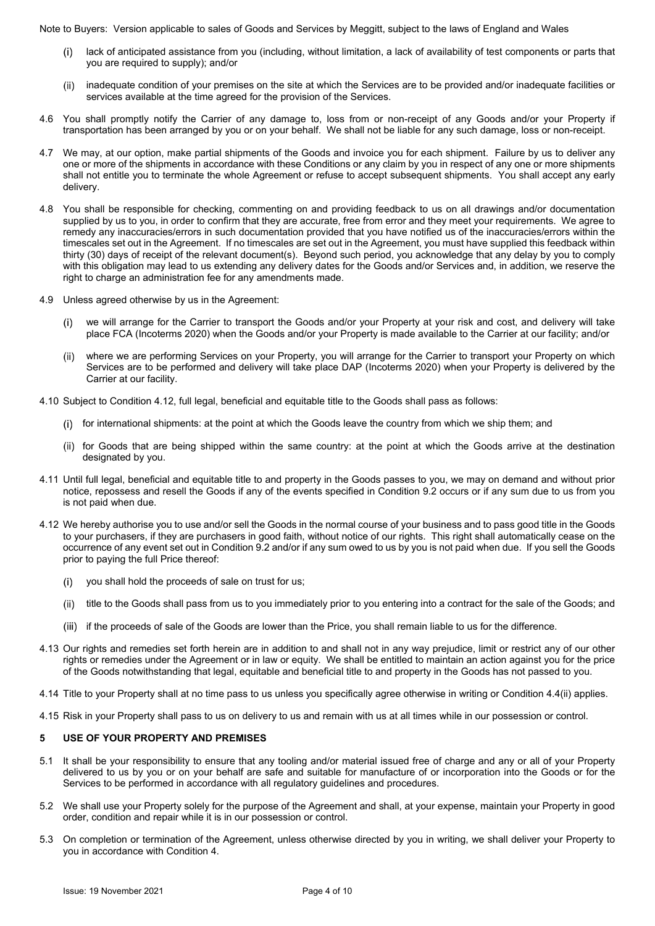- lack of anticipated assistance from you (including, without limitation, a lack of availability of test components or parts that you are required to supply); and/or
- inadequate condition of your premises on the site at which the Services are to be provided and/or inadequate facilities or services available at the time agreed for the provision of the Services.
- 4.6 You shall promptly notify the Carrier of any damage to, loss from or non-receipt of any Goods and/or your Property if transportation has been arranged by you or on your behalf. We shall not be liable for any such damage, loss or non-receipt.
- 4.7 We may, at our option, make partial shipments of the Goods and invoice you for each shipment. Failure by us to deliver any one or more of the shipments in accordance with these Conditions or any claim by you in respect of any one or more shipments shall not entitle you to terminate the whole Agreement or refuse to accept subsequent shipments. You shall accept any early delivery.
- 4.8 You shall be responsible for checking, commenting on and providing feedback to us on all drawings and/or documentation supplied by us to you, in order to confirm that they are accurate, free from error and they meet your requirements. We agree to remedy any inaccuracies/errors in such documentation provided that you have notified us of the inaccuracies/errors within the timescales set out in the Agreement. If no timescales are set out in the Agreement, you must have supplied this feedback within thirty (30) days of receipt of the relevant document(s). Beyond such period, you acknowledge that any delay by you to comply with this obligation may lead to us extending any delivery dates for the Goods and/or Services and, in addition, we reserve the right to charge an administration fee for any amendments made.
- 4.9 Unless agreed otherwise by us in the Agreement:
	- we will arrange for the Carrier to transport the Goods and/or your Property at your risk and cost, and delivery will take place FCA (Incoterms 2020) when the Goods and/or your Property is made available to the Carrier at our facility; and/or
	- where we are performing Services on your Property, you will arrange for the Carrier to transport your Property on which Services are to be performed and delivery will take place DAP (Incoterms 2020) when your Property is delivered by the Carrier at our facility.
- 4.10 Subject to Condition 4.12, full legal, beneficial and equitable title to the Goods shall pass as follows:
	- for international shipments: at the point at which the Goods leave the country from which we ship them; and
	- (ii) for Goods that are being shipped within the same country: at the point at which the Goods arrive at the destination designated by you.
- 4.11 Until full legal, beneficial and equitable title to and property in the Goods passes to you, we may on demand and without prior notice, repossess and resell the Goods if any of the events specified in Condition 9.2 occurs or if any sum due to us from you is not paid when due.
- 4.12 We hereby authorise you to use and/or sell the Goods in the normal course of your business and to pass good title in the Goods to your purchasers, if they are purchasers in good faith, without notice of our rights. This right shall automatically cease on the occurrence of any event set out in Condition 9.2 and/or if any sum owed to us by you is not paid when due. If you sell the Goods prior to paying the full Price thereof:
	- (i) you shall hold the proceeds of sale on trust for us;
	- (ii) title to the Goods shall pass from us to you immediately prior to you entering into a contract for the sale of the Goods; and
	- (iii) if the proceeds of sale of the Goods are lower than the Price, you shall remain liable to us for the difference.
- 4.13 Our rights and remedies set forth herein are in addition to and shall not in any way prejudice, limit or restrict any of our other rights or remedies under the Agreement or in law or equity. We shall be entitled to maintain an action against you for the price of the Goods notwithstanding that legal, equitable and beneficial title to and property in the Goods has not passed to you.
- 4.14 Title to your Property shall at no time pass to us unless you specifically agree otherwise in writing or Condition 4.4(ii) applies.
- 4.15 Risk in your Property shall pass to us on delivery to us and remain with us at all times while in our possession or control.

## **5 USE OF YOUR PROPERTY AND PREMISES**

- 5.1 It shall be your responsibility to ensure that any tooling and/or material issued free of charge and any or all of your Property delivered to us by you or on your behalf are safe and suitable for manufacture of or incorporation into the Goods or for the Services to be performed in accordance with all regulatory guidelines and procedures.
- 5.2 We shall use your Property solely for the purpose of the Agreement and shall, at your expense, maintain your Property in good order, condition and repair while it is in our possession or control.
- 5.3 On completion or termination of the Agreement, unless otherwise directed by you in writing, we shall deliver your Property to you in accordance with Condition 4.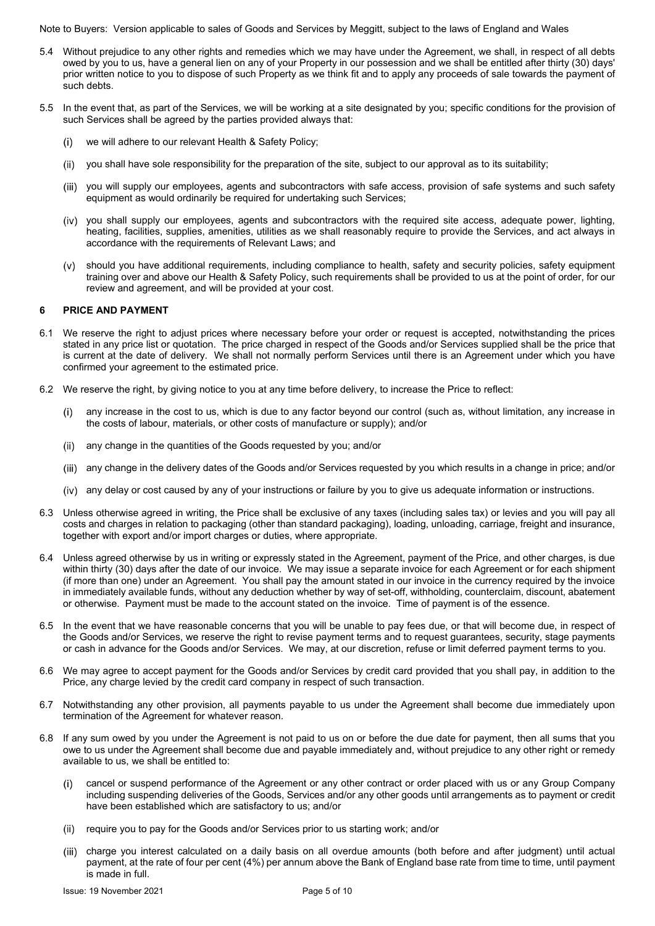- 5.4 Without prejudice to any other rights and remedies which we may have under the Agreement, we shall, in respect of all debts owed by you to us, have a general lien on any of your Property in our possession and we shall be entitled after thirty (30) days' prior written notice to you to dispose of such Property as we think fit and to apply any proceeds of sale towards the payment of such debts.
- 5.5 In the event that, as part of the Services, we will be working at a site designated by you; specific conditions for the provision of such Services shall be agreed by the parties provided always that:
	- we will adhere to our relevant Health & Safety Policy;
	- you shall have sole responsibility for the preparation of the site, subject to our approval as to its suitability;
	- (iii) you will supply our employees, agents and subcontractors with safe access, provision of safe systems and such safetv equipment as would ordinarily be required for undertaking such Services;
	- (iv) you shall supply our employees, agents and subcontractors with the required site access, adequate power, lighting, heating, facilities, supplies, amenities, utilities as we shall reasonably require to provide the Services, and act always in accordance with the requirements of Relevant Laws; and
	- should you have additional requirements, including compliance to health, safety and security policies, safety equipment training over and above our Health & Safety Policy, such requirements shall be provided to us at the point of order, for our review and agreement, and will be provided at your cost.

#### **6 PRICE AND PAYMENT**

- 6.1 We reserve the right to adjust prices where necessary before your order or request is accepted, notwithstanding the prices stated in any price list or quotation. The price charged in respect of the Goods and/or Services supplied shall be the price that is current at the date of delivery. We shall not normally perform Services until there is an Agreement under which you have confirmed your agreement to the estimated price.
- 6.2 We reserve the right, by giving notice to you at any time before delivery, to increase the Price to reflect:
	- any increase in the cost to us, which is due to any factor beyond our control (such as, without limitation, any increase in the costs of labour, materials, or other costs of manufacture or supply); and/or
	- any change in the quantities of the Goods requested by you; and/or
	- any change in the delivery dates of the Goods and/or Services requested by you which results in a change in price; and/or
	- any delay or cost caused by any of your instructions or failure by you to give us adequate information or instructions.
- 6.3 Unless otherwise agreed in writing, the Price shall be exclusive of any taxes (including sales tax) or levies and you will pay all costs and charges in relation to packaging (other than standard packaging), loading, unloading, carriage, freight and insurance, together with export and/or import charges or duties, where appropriate.
- 6.4 Unless agreed otherwise by us in writing or expressly stated in the Agreement, payment of the Price, and other charges, is due within thirty (30) days after the date of our invoice. We may issue a separate invoice for each Agreement or for each shipment (if more than one) under an Agreement. You shall pay the amount stated in our invoice in the currency required by the invoice in immediately available funds, without any deduction whether by way of set-off, withholding, counterclaim, discount, abatement or otherwise. Payment must be made to the account stated on the invoice. Time of payment is of the essence.
- 6.5 In the event that we have reasonable concerns that you will be unable to pay fees due, or that will become due, in respect of the Goods and/or Services, we reserve the right to revise payment terms and to request guarantees, security, stage payments or cash in advance for the Goods and/or Services. We may, at our discretion, refuse or limit deferred payment terms to you.
- 6.6 We may agree to accept payment for the Goods and/or Services by credit card provided that you shall pay, in addition to the Price, any charge levied by the credit card company in respect of such transaction.
- 6.7 Notwithstanding any other provision, all payments payable to us under the Agreement shall become due immediately upon termination of the Agreement for whatever reason.
- 6.8 If any sum owed by you under the Agreement is not paid to us on or before the due date for payment, then all sums that you owe to us under the Agreement shall become due and payable immediately and, without prejudice to any other right or remedy available to us, we shall be entitled to:
	- cancel or suspend performance of the Agreement or any other contract or order placed with us or any Group Company including suspending deliveries of the Goods, Services and/or any other goods until arrangements as to payment or credit have been established which are satisfactory to us; and/or
	- (ii) require you to pay for the Goods and/or Services prior to us starting work; and/or
	- charge you interest calculated on a daily basis on all overdue amounts (both before and after judgment) until actual payment, at the rate of four per cent (4%) per annum above the Bank of England base rate from time to time, until payment is made in full.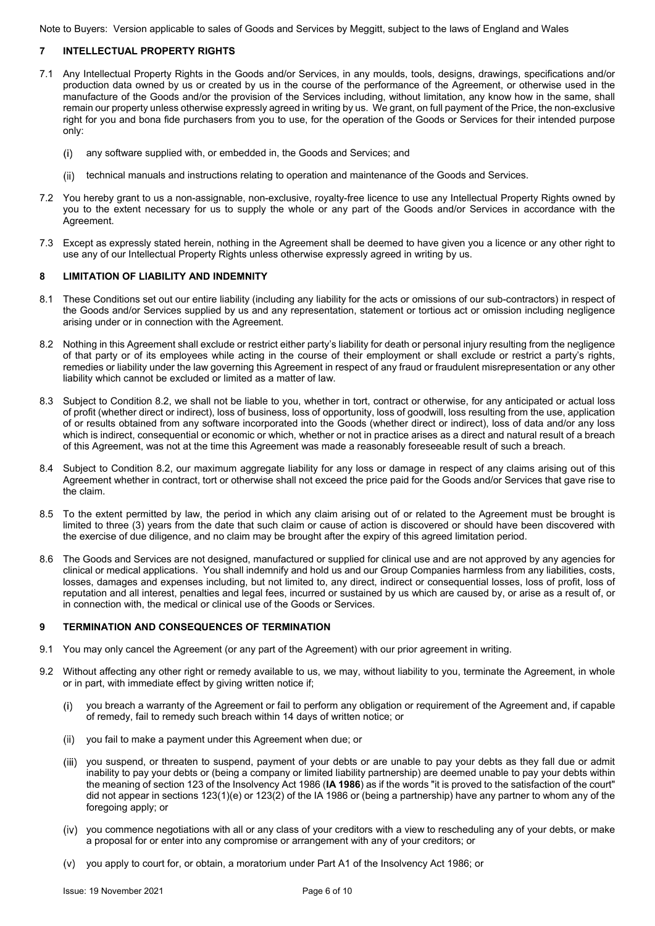## **7 INTELLECTUAL PROPERTY RIGHTS**

- 7.1 Any Intellectual Property Rights in the Goods and/or Services, in any moulds, tools, designs, drawings, specifications and/or production data owned by us or created by us in the course of the performance of the Agreement, or otherwise used in the manufacture of the Goods and/or the provision of the Services including, without limitation, any know how in the same, shall remain our property unless otherwise expressly agreed in writing by us. We grant, on full payment of the Price, the non-exclusive right for you and bona fide purchasers from you to use, for the operation of the Goods or Services for their intended purpose only:
	- any software supplied with, or embedded in, the Goods and Services; and
	- (ii) technical manuals and instructions relating to operation and maintenance of the Goods and Services.
- 7.2 You hereby grant to us a non-assignable, non-exclusive, royalty-free licence to use any Intellectual Property Rights owned by you to the extent necessary for us to supply the whole or any part of the Goods and/or Services in accordance with the Agreement.
- 7.3 Except as expressly stated herein, nothing in the Agreement shall be deemed to have given you a licence or any other right to use any of our Intellectual Property Rights unless otherwise expressly agreed in writing by us.

#### **8 LIMITATION OF LIABILITY AND INDEMNITY**

- 8.1 These Conditions set out our entire liability (including any liability for the acts or omissions of our sub-contractors) in respect of the Goods and/or Services supplied by us and any representation, statement or tortious act or omission including negligence arising under or in connection with the Agreement.
- 8.2 Nothing in this Agreement shall exclude or restrict either party's liability for death or personal injury resulting from the negligence of that party or of its employees while acting in the course of their employment or shall exclude or restrict a party's rights, remedies or liability under the law governing this Agreement in respect of any fraud or fraudulent misrepresentation or any other liability which cannot be excluded or limited as a matter of law.
- 8.3 Subject to Condition 8.2, we shall not be liable to you, whether in tort, contract or otherwise, for any anticipated or actual loss of profit (whether direct or indirect), loss of business, loss of opportunity, loss of goodwill, loss resulting from the use, application of or results obtained from any software incorporated into the Goods (whether direct or indirect), loss of data and/or any loss which is indirect, consequential or economic or which, whether or not in practice arises as a direct and natural result of a breach of this Agreement, was not at the time this Agreement was made a reasonably foreseeable result of such a breach.
- 8.4 Subject to Condition 8.2, our maximum aggregate liability for any loss or damage in respect of any claims arising out of this Agreement whether in contract, tort or otherwise shall not exceed the price paid for the Goods and/or Services that gave rise to the claim.
- 8.5 To the extent permitted by law, the period in which any claim arising out of or related to the Agreement must be brought is limited to three (3) years from the date that such claim or cause of action is discovered or should have been discovered with the exercise of due diligence, and no claim may be brought after the expiry of this agreed limitation period.
- 8.6 The Goods and Services are not designed, manufactured or supplied for clinical use and are not approved by any agencies for clinical or medical applications. You shall indemnify and hold us and our Group Companies harmless from any liabilities, costs, losses, damages and expenses including, but not limited to, any direct, indirect or consequential losses, loss of profit, loss of reputation and all interest, penalties and legal fees, incurred or sustained by us which are caused by, or arise as a result of, or in connection with, the medical or clinical use of the Goods or Services.

#### **9 TERMINATION AND CONSEQUENCES OF TERMINATION**

- 9.1 You may only cancel the Agreement (or any part of the Agreement) with our prior agreement in writing.
- 9.2 Without affecting any other right or remedy available to us, we may, without liability to you, terminate the Agreement, in whole or in part, with immediate effect by giving written notice if;
	- you breach a warranty of the Agreement or fail to perform any obligation or requirement of the Agreement and, if capable of remedy, fail to remedy such breach within 14 days of written notice; or
	- (ii) you fail to make a payment under this Agreement when due; or
	- (iii) you suspend, or threaten to suspend, payment of your debts or are unable to pay your debts as they fall due or admit inability to pay your debts or (being a company or limited liability partnership) are deemed unable to pay your debts within the meaning of section 123 of the Insolvency Act 1986 (**IA 1986**) as if the words "it is proved to the satisfaction of the court" did not appear in sections 123(1)(e) or 123(2) of the IA 1986 or (being a partnership) have any partner to whom any of the foregoing apply; or
	- (iv) you commence negotiations with all or any class of your creditors with a view to rescheduling any of your debts, or make a proposal for or enter into any compromise or arrangement with any of your creditors; or
	- you apply to court for, or obtain, a moratorium under Part A1 of the Insolvency Act 1986; or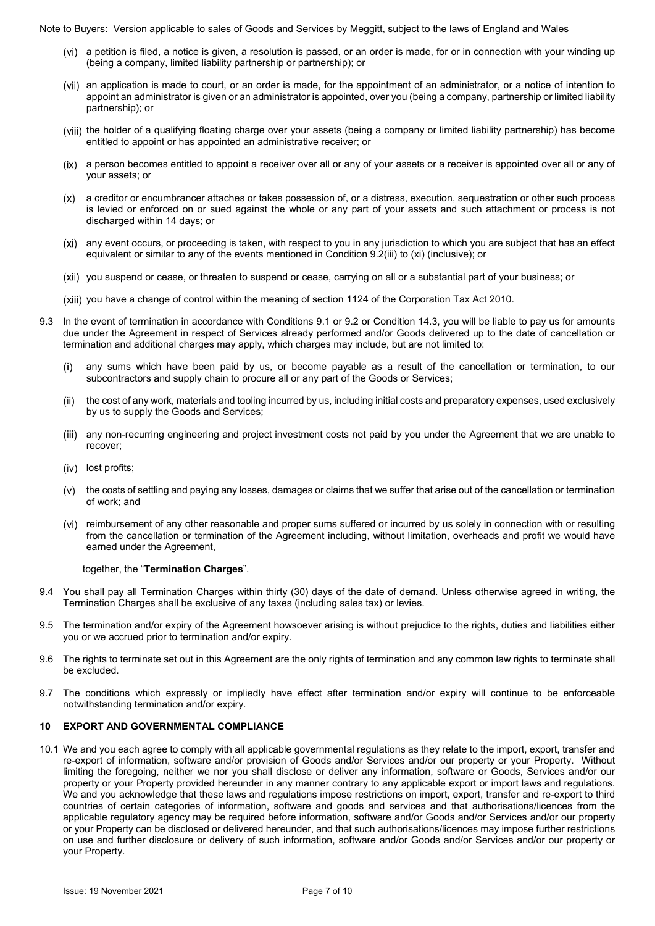- (vi) a petition is filed, a notice is given, a resolution is passed, or an order is made, for or in connection with your winding up (being a company, limited liability partnership or partnership); or
- (vii) an application is made to court, or an order is made, for the appointment of an administrator, or a notice of intention to appoint an administrator is given or an administrator is appointed, over you (being a company, partnership or limited liability partnership); or
- (viii) the holder of a qualifying floating charge over your assets (being a company or limited liability partnership) has become entitled to appoint or has appointed an administrative receiver; or
- (ix) a person becomes entitled to appoint a receiver over all or any of your assets or a receiver is appointed over all or any of your assets; or
- a creditor or encumbrancer attaches or takes possession of, or a distress, execution, sequestration or other such process is levied or enforced on or sued against the whole or any part of your assets and such attachment or process is not discharged within 14 days; or
- any event occurs, or proceeding is taken, with respect to you in any jurisdiction to which you are subject that has an effect equivalent or similar to any of the events mentioned in Condition 9.2(iii) to (xi) (inclusive); or
- (xii) you suspend or cease, or threaten to suspend or cease, carrying on all or a substantial part of your business; or
- (xiji) you have a change of control within the meaning of section 1124 of the Corporation Tax Act 2010.
- 9.3 In the event of termination in accordance with Conditions 9.1 or 9.2 or Condition 14.3, you will be liable to pay us for amounts due under the Agreement in respect of Services already performed and/or Goods delivered up to the date of cancellation or termination and additional charges may apply, which charges may include, but are not limited to:
	- any sums which have been paid by us, or become payable as a result of the cancellation or termination, to our subcontractors and supply chain to procure all or any part of the Goods or Services;
	- the cost of any work, materials and tooling incurred by us, including initial costs and preparatory expenses, used exclusively by us to supply the Goods and Services;
	- (iii) any non-recurring engineering and project investment costs not paid by you under the Agreement that we are unable to recover;
	- (iv) lost profits;
	- $(v)$  the costs of settling and paying any losses, damages or claims that we suffer that arise out of the cancellation or termination of work; and
	- (vi) reimbursement of any other reasonable and proper sums suffered or incurred by us solely in connection with or resulting from the cancellation or termination of the Agreement including, without limitation, overheads and profit we would have earned under the Agreement,

#### together, the "**Termination Charges**".

- 9.4 You shall pay all Termination Charges within thirty (30) days of the date of demand. Unless otherwise agreed in writing, the Termination Charges shall be exclusive of any taxes (including sales tax) or levies.
- 9.5 The termination and/or expiry of the Agreement howsoever arising is without prejudice to the rights, duties and liabilities either you or we accrued prior to termination and/or expiry.
- 9.6 The rights to terminate set out in this Agreement are the only rights of termination and any common law rights to terminate shall be excluded.
- 9.7 The conditions which expressly or impliedly have effect after termination and/or expiry will continue to be enforceable notwithstanding termination and/or expiry.

#### **10 EXPORT AND GOVERNMENTAL COMPLIANCE**

10.1 We and you each agree to comply with all applicable governmental regulations as they relate to the import, export, transfer and re-export of information, software and/or provision of Goods and/or Services and/or our property or your Property. Without limiting the foregoing, neither we nor you shall disclose or deliver any information, software or Goods, Services and/or our property or your Property provided hereunder in any manner contrary to any applicable export or import laws and regulations. We and you acknowledge that these laws and regulations impose restrictions on import, export, transfer and re-export to third countries of certain categories of information, software and goods and services and that authorisations/licences from the applicable regulatory agency may be required before information, software and/or Goods and/or Services and/or our property or your Property can be disclosed or delivered hereunder, and that such authorisations/licences may impose further restrictions on use and further disclosure or delivery of such information, software and/or Goods and/or Services and/or our property or your Property.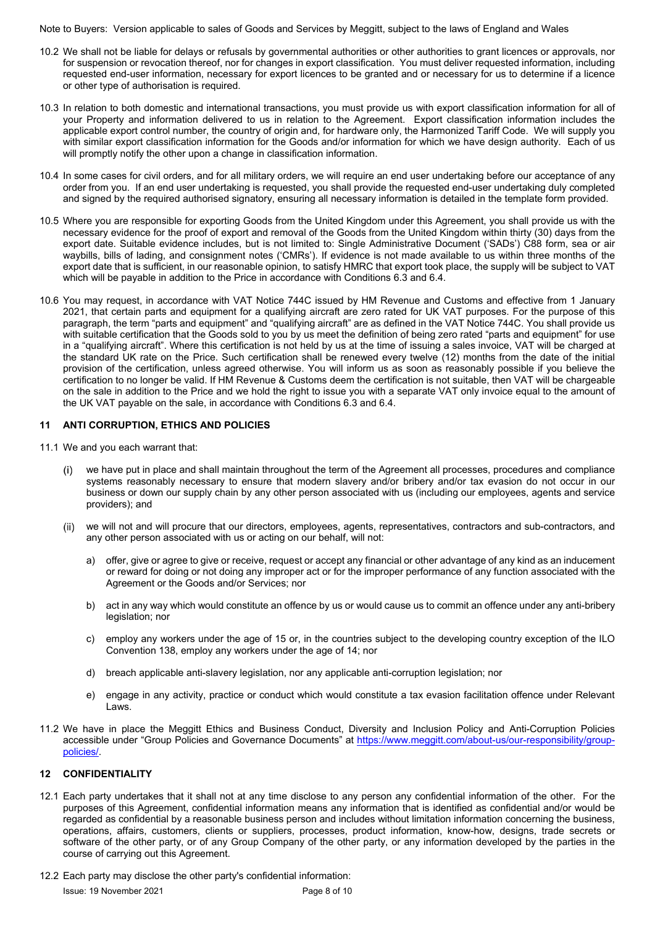- 10.2 We shall not be liable for delays or refusals by governmental authorities or other authorities to grant licences or approvals, nor for suspension or revocation thereof, nor for changes in export classification. You must deliver requested information, including requested end-user information, necessary for export licences to be granted and or necessary for us to determine if a licence or other type of authorisation is required.
- 10.3 In relation to both domestic and international transactions, you must provide us with export classification information for all of your Property and information delivered to us in relation to the Agreement. Export classification information includes the applicable export control number, the country of origin and, for hardware only, the Harmonized Tariff Code. We will supply you with similar export classification information for the Goods and/or information for which we have design authority. Each of us will promptly notify the other upon a change in classification information.
- 10.4 In some cases for civil orders, and for all military orders, we will require an end user undertaking before our acceptance of any order from you. If an end user undertaking is requested, you shall provide the requested end-user undertaking duly completed and signed by the required authorised signatory, ensuring all necessary information is detailed in the template form provided.
- 10.5 Where you are responsible for exporting Goods from the United Kingdom under this Agreement, you shall provide us with the necessary evidence for the proof of export and removal of the Goods from the United Kingdom within thirty (30) days from the export date. Suitable evidence includes, but is not limited to: Single Administrative Document ('SADs') C88 form, sea or air waybills, bills of lading, and consignment notes ('CMRs'). If evidence is not made available to us within three months of the export date that is sufficient, in our reasonable opinion, to satisfy HMRC that export took place, the supply will be subject to VAT which will be payable in addition to the Price in accordance with Conditions 6.3 and 6.4.
- 10.6 You may request, in accordance with VAT Notice 744C issued by HM Revenue and Customs and effective from 1 January 2021, that certain parts and equipment for a qualifying aircraft are zero rated for UK VAT purposes. For the purpose of this paragraph, the term "parts and equipment" and "qualifying aircraft" are as defined in the VAT Notice 744C. You shall provide us with suitable certification that the Goods sold to you by us meet the definition of being zero rated "parts and equipment" for use in a "qualifying aircraft". Where this certification is not held by us at the time of issuing a sales invoice, VAT will be charged at the standard UK rate on the Price. Such certification shall be renewed every twelve (12) months from the date of the initial provision of the certification, unless agreed otherwise. You will inform us as soon as reasonably possible if you believe the certification to no longer be valid. If HM Revenue & Customs deem the certification is not suitable, then VAT will be chargeable on the sale in addition to the Price and we hold the right to issue you with a separate VAT only invoice equal to the amount of the UK VAT payable on the sale, in accordance with Conditions 6.3 and 6.4.

# **11 ANTI CORRUPTION, ETHICS AND POLICIES**

- 11.1 We and you each warrant that:
	- we have put in place and shall maintain throughout the term of the Agreement all processes, procedures and compliance systems reasonably necessary to ensure that modern slavery and/or bribery and/or tax evasion do not occur in our business or down our supply chain by any other person associated with us (including our employees, agents and service providers); and
	- we will not and will procure that our directors, employees, agents, representatives, contractors and sub-contractors, and any other person associated with us or acting on our behalf, will not:
		- a) offer, give or agree to give or receive, request or accept any financial or other advantage of any kind as an inducement or reward for doing or not doing any improper act or for the improper performance of any function associated with the Agreement or the Goods and/or Services; nor
		- b) act in any way which would constitute an offence by us or would cause us to commit an offence under any anti-bribery legislation; nor
		- c) employ any workers under the age of 15 or, in the countries subject to the developing country exception of the ILO Convention 138, employ any workers under the age of 14; nor
		- d) breach applicable anti-slavery legislation, nor any applicable anti-corruption legislation; nor
		- e) engage in any activity, practice or conduct which would constitute a tax evasion facilitation offence under Relevant Laws.
- 11.2 We have in place the Meggitt Ethics and Business Conduct, Diversity and Inclusion Policy and Anti-Corruption Policies accessible under "Group Policies and Governance Documents" at https://www.meggitt.com/about-us/our-responsibility/grouppolicies/.

#### **12 CONFIDENTIALITY**

- 12.1 Each party undertakes that it shall not at any time disclose to any person any confidential information of the other. For the purposes of this Agreement, confidential information means any information that is identified as confidential and/or would be regarded as confidential by a reasonable business person and includes without limitation information concerning the business, operations, affairs, customers, clients or suppliers, processes, product information, know-how, designs, trade secrets or software of the other party, or of any Group Company of the other party, or any information developed by the parties in the course of carrying out this Agreement.
- 12.2 Each party may disclose the other party's confidential information: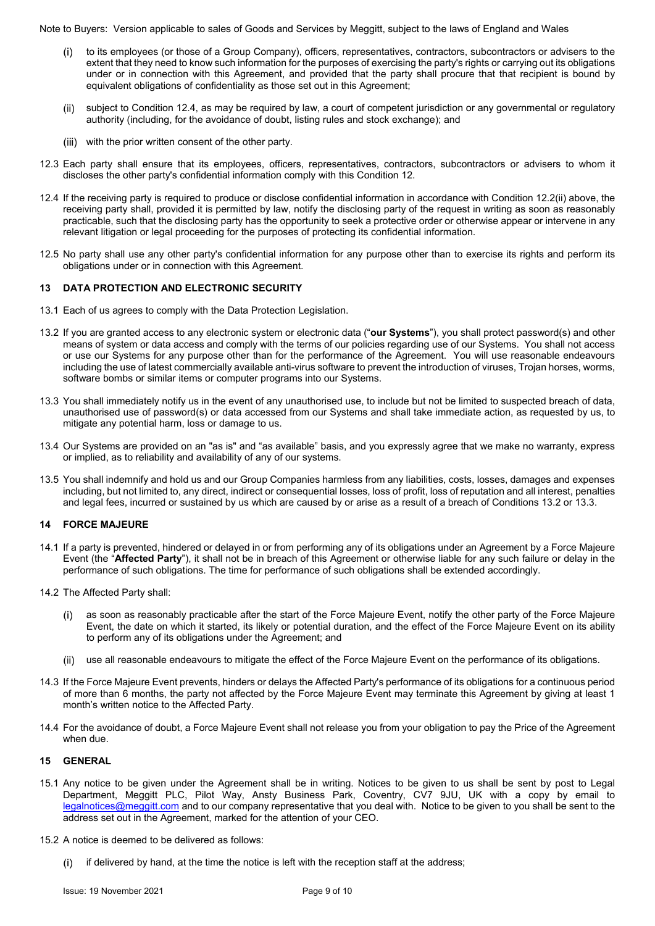- to its employees (or those of a Group Company), officers, representatives, contractors, subcontractors or advisers to the extent that they need to know such information for the purposes of exercising the party's rights or carrying out its obligations under or in connection with this Agreement, and provided that the party shall procure that that recipient is bound by equivalent obligations of confidentiality as those set out in this Agreement;
- (ii) subject to Condition 12.4, as may be required by law, a court of competent jurisdiction or any governmental or regulatory authority (including, for the avoidance of doubt, listing rules and stock exchange); and
- (iii) with the prior written consent of the other party.
- 12.3 Each party shall ensure that its employees, officers, representatives, contractors, subcontractors or advisers to whom it discloses the other party's confidential information comply with this Condition 12.
- 12.4 If the receiving party is required to produce or disclose confidential information in accordance with Condition 12.2(ii) above, the receiving party shall, provided it is permitted by law, notify the disclosing party of the request in writing as soon as reasonably practicable, such that the disclosing party has the opportunity to seek a protective order or otherwise appear or intervene in any relevant litigation or legal proceeding for the purposes of protecting its confidential information.
- 12.5 No party shall use any other party's confidential information for any purpose other than to exercise its rights and perform its obligations under or in connection with this Agreement.

#### **13 DATA PROTECTION AND ELECTRONIC SECURITY**

- 13.1 Each of us agrees to comply with the Data Protection Legislation.
- 13.2 If you are granted access to any electronic system or electronic data ("**our Systems**"), you shall protect password(s) and other means of system or data access and comply with the terms of our policies regarding use of our Systems. You shall not access or use our Systems for any purpose other than for the performance of the Agreement. You will use reasonable endeavours including the use of latest commercially available anti-virus software to prevent the introduction of viruses, Trojan horses, worms, software bombs or similar items or computer programs into our Systems.
- 13.3 You shall immediately notify us in the event of any unauthorised use, to include but not be limited to suspected breach of data, unauthorised use of password(s) or data accessed from our Systems and shall take immediate action, as requested by us, to mitigate any potential harm, loss or damage to us.
- 13.4 Our Systems are provided on an "as is" and "as available" basis, and you expressly agree that we make no warranty, express or implied, as to reliability and availability of any of our systems.
- 13.5 You shall indemnify and hold us and our Group Companies harmless from any liabilities, costs, losses, damages and expenses including, but not limited to, any direct, indirect or consequential losses, loss of profit, loss of reputation and all interest, penalties and legal fees, incurred or sustained by us which are caused by or arise as a result of a breach of Conditions 13.2 or 13.3.

# **14 FORCE MAJEURE**

- 14.1 If a party is prevented, hindered or delayed in or from performing any of its obligations under an Agreement by a Force Majeure Event (the "**Affected Party**"), it shall not be in breach of this Agreement or otherwise liable for any such failure or delay in the performance of such obligations. The time for performance of such obligations shall be extended accordingly.
- 14.2 The Affected Party shall:
	- as soon as reasonably practicable after the start of the Force Majeure Event, notify the other party of the Force Majeure Event, the date on which it started, its likely or potential duration, and the effect of the Force Majeure Event on its ability to perform any of its obligations under the Agreement; and
	- use all reasonable endeavours to mitigate the effect of the Force Majeure Event on the performance of its obligations.
- 14.3 If the Force Majeure Event prevents, hinders or delays the Affected Party's performance of its obligations for a continuous period of more than 6 months, the party not affected by the Force Majeure Event may terminate this Agreement by giving at least 1 month's written notice to the Affected Party.
- 14.4 For the avoidance of doubt, a Force Majeure Event shall not release you from your obligation to pay the Price of the Agreement when due.

#### **15 GENERAL**

- 15.1 Any notice to be given under the Agreement shall be in writing. Notices to be given to us shall be sent by post to Legal Department, Meggitt PLC, Pilot Way, Ansty Business Park, Coventry, CV7 9JU, UK with a copy by email to legalnotices@meggitt.com and to our company representative that you deal with. Notice to be given to you shall be sent to the address set out in the Agreement, marked for the attention of your CEO.
- 15.2 A notice is deemed to be delivered as follows:
	- (i) if delivered by hand, at the time the notice is left with the reception staff at the address;